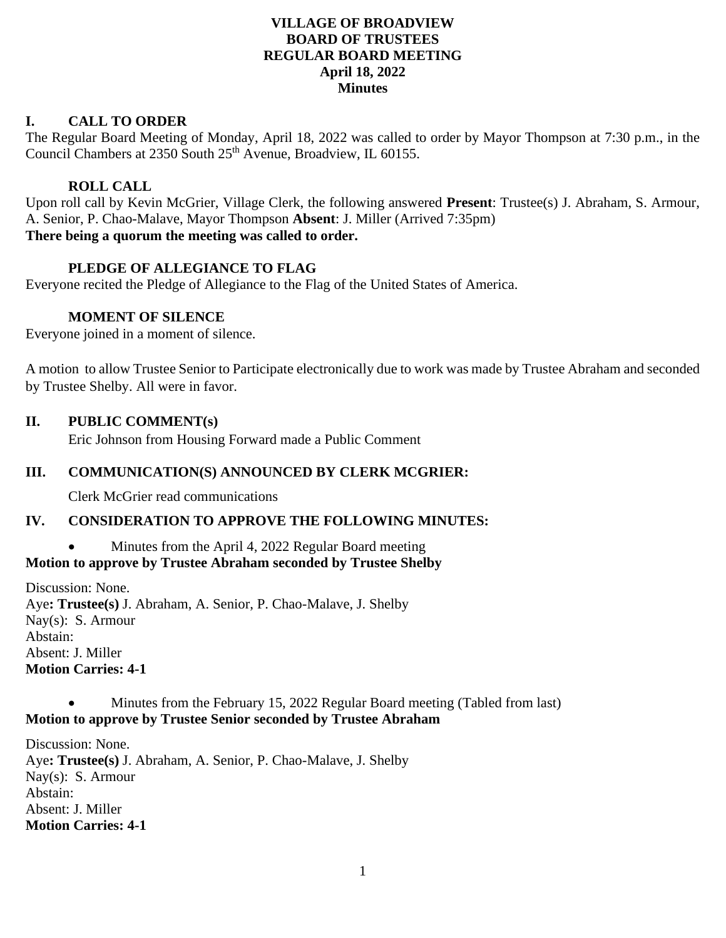# **VILLAGE OF BROADVIEW BOARD OF TRUSTEES REGULAR BOARD MEETING April 18, 2022 Minutes**

# **I. CALL TO ORDER**

The Regular Board Meeting of Monday, April 18, 2022 was called to order by Mayor Thompson at 7:30 p.m., in the Council Chambers at 2350 South 25<sup>th</sup> Avenue, Broadview, IL 60155.

#### **ROLL CALL**

Upon roll call by Kevin McGrier, Village Clerk, the following answered **Present**: Trustee(s) J. Abraham, S. Armour, A. Senior, P. Chao-Malave, Mayor Thompson **Absent**: J. Miller (Arrived 7:35pm) **There being a quorum the meeting was called to order.**

# **PLEDGE OF ALLEGIANCE TO FLAG**

Everyone recited the Pledge of Allegiance to the Flag of the United States of America.

#### **MOMENT OF SILENCE**

Everyone joined in a moment of silence.

A motion to allow Trustee Senior to Participate electronically due to work was made by Trustee Abraham and seconded by Trustee Shelby. All were in favor.

#### **II. PUBLIC COMMENT(s)**

Eric Johnson from Housing Forward made a Public Comment

#### **III. COMMUNICATION(S) ANNOUNCED BY CLERK MCGRIER:**

Clerk McGrier read communications

#### **IV. CONSIDERATION TO APPROVE THE FOLLOWING MINUTES:**

# • Minutes from the April 4, 2022 Regular Board meeting

**Motion to approve by Trustee Abraham seconded by Trustee Shelby**

Discussion: None. Aye**: Trustee(s)** J. Abraham, A. Senior, P. Chao-Malave, J. Shelby Nay(s): S. Armour Abstain: Absent: J. Miller **Motion Carries: 4-1**

#### • Minutes from the February 15, 2022 Regular Board meeting (Tabled from last) **Motion to approve by Trustee Senior seconded by Trustee Abraham**

Discussion: None. Aye**: Trustee(s)** J. Abraham, A. Senior, P. Chao-Malave, J. Shelby Nay(s): S. Armour Abstain: Absent: J. Miller **Motion Carries: 4-1**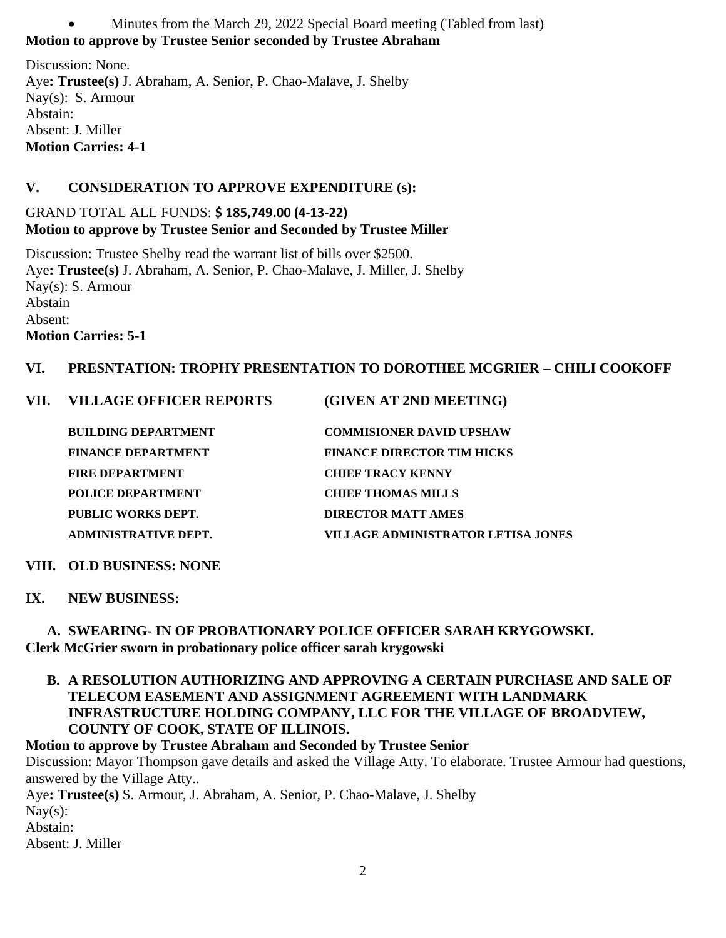• Minutes from the March 29, 2022 Special Board meeting (Tabled from last) **Motion to approve by Trustee Senior seconded by Trustee Abraham**

Discussion: None. Aye**: Trustee(s)** J. Abraham, A. Senior, P. Chao-Malave, J. Shelby Nay(s): S. Armour Abstain: Absent: J. Miller **Motion Carries: 4-1**

# **V. CONSIDERATION TO APPROVE EXPENDITURE (s):**

# GRAND TOTAL ALL FUNDS: **\$ 185,749.00 (4-13-22) Motion to approve by Trustee Senior and Seconded by Trustee Miller**

Discussion: Trustee Shelby read the warrant list of bills over \$2500. Aye**: Trustee(s)** J. Abraham, A. Senior, P. Chao-Malave, J. Miller, J. Shelby Nay(s): S. Armour Abstain Absent: **Motion Carries: 5-1**

# **VI. PRESNTATION: TROPHY PRESENTATION TO DOROTHEE MCGRIER – CHILI COOKOFF**

# **VII. VILLAGE OFFICER REPORTS (GIVEN AT 2ND MEETING)**

| <b>BUILDING DEPARTMENT</b> | <b>COMMISIONER DAVID UPSHAW</b>    |
|----------------------------|------------------------------------|
| <b>FINANCE DEPARTMENT</b>  | <b>FINANCE DIRECTOR TIM HICKS</b>  |
| <b>FIRE DEPARTMENT</b>     | <b>CHIEF TRACY KENNY</b>           |
| POLICE DEPARTMENT          | <b>CHIEF THOMAS MILLS</b>          |
| PUBLIC WORKS DEPT.         | <b>DIRECTOR MATT AMES</b>          |
| ADMINISTRATIVE DEPT.       | VILLAGE ADMINISTRATOR LETISA JONES |

#### **VIII. OLD BUSINESS: NONE**

#### **IX. NEW BUSINESS:**

# **A. SWEARING- IN OF PROBATIONARY POLICE OFFICER SARAH KRYGOWSKI. Clerk McGrier sworn in probationary police officer sarah krygowski**

**B. A RESOLUTION AUTHORIZING AND APPROVING A CERTAIN PURCHASE AND SALE OF TELECOM EASEMENT AND ASSIGNMENT AGREEMENT WITH LANDMARK INFRASTRUCTURE HOLDING COMPANY, LLC FOR THE VILLAGE OF BROADVIEW, COUNTY OF COOK, STATE OF ILLINOIS.**

# **Motion to approve by Trustee Abraham and Seconded by Trustee Senior** Discussion: Mayor Thompson gave details and asked the Village Atty. To elaborate. Trustee Armour had questions, answered by the Village Atty.. Aye**: Trustee(s)** S. Armour, J. Abraham, A. Senior, P. Chao-Malave, J. Shelby  $\text{Nay}(s)$ : Abstain: Absent: J. Miller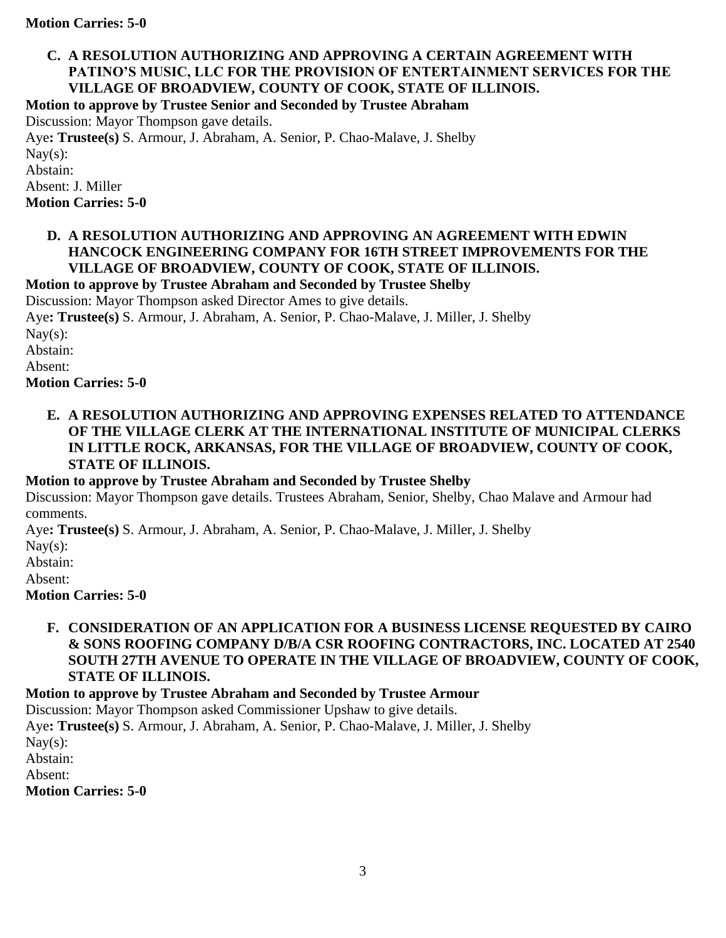# **C. A RESOLUTION AUTHORIZING AND APPROVING A CERTAIN AGREEMENT WITH PATINO'S MUSIC, LLC FOR THE PROVISION OF ENTERTAINMENT SERVICES FOR THE VILLAGE OF BROADVIEW, COUNTY OF COOK, STATE OF ILLINOIS.**

**Motion to approve by Trustee Senior and Seconded by Trustee Abraham**

Discussion: Mayor Thompson gave details.

Aye**: Trustee(s)** S. Armour, J. Abraham, A. Senior, P. Chao-Malave, J. Shelby Nay $(s)$ : Abstain: Absent: J. Miller **Motion Carries: 5-0**

# **D. A RESOLUTION AUTHORIZING AND APPROVING AN AGREEMENT WITH EDWIN HANCOCK ENGINEERING COMPANY FOR 16TH STREET IMPROVEMENTS FOR THE VILLAGE OF BROADVIEW, COUNTY OF COOK, STATE OF ILLINOIS.**

**Motion to approve by Trustee Abraham and Seconded by Trustee Shelby**

Discussion: Mayor Thompson asked Director Ames to give details.

Aye**: Trustee(s)** S. Armour, J. Abraham, A. Senior, P. Chao-Malave, J. Miller, J. Shelby

Nay $(s)$ :

Abstain:

Absent:

**Motion Carries: 5-0**

**E. A RESOLUTION AUTHORIZING AND APPROVING EXPENSES RELATED TO ATTENDANCE OF THE VILLAGE CLERK AT THE INTERNATIONAL INSTITUTE OF MUNICIPAL CLERKS IN LITTLE ROCK, ARKANSAS, FOR THE VILLAGE OF BROADVIEW, COUNTY OF COOK, STATE OF ILLINOIS.**

**Motion to approve by Trustee Abraham and Seconded by Trustee Shelby**

Discussion: Mayor Thompson gave details. Trustees Abraham, Senior, Shelby, Chao Malave and Armour had comments.

Aye**: Trustee(s)** S. Armour, J. Abraham, A. Senior, P. Chao-Malave, J. Miller, J. Shelby

 $\text{Nay}(s)$ :

Abstain:

Absent:

**Motion Carries: 5-0**

# **F. CONSIDERATION OF AN APPLICATION FOR A BUSINESS LICENSE REQUESTED BY CAIRO & SONS ROOFING COMPANY D/B/A CSR ROOFING CONTRACTORS, INC. LOCATED AT 2540 SOUTH 27TH AVENUE TO OPERATE IN THE VILLAGE OF BROADVIEW, COUNTY OF COOK, STATE OF ILLINOIS.**

**Motion to approve by Trustee Abraham and Seconded by Trustee Armour** 

Discussion: Mayor Thompson asked Commissioner Upshaw to give details.

Aye**: Trustee(s)** S. Armour, J. Abraham, A. Senior, P. Chao-Malave, J. Miller, J. Shelby

Nay $(s)$ :

Abstain:

Absent:

**Motion Carries: 5-0**